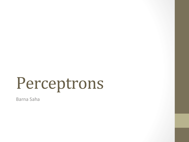Barna Saha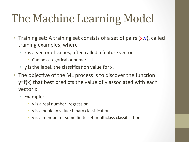# The Machine Learning Model

- Training set: A training set consists of a set of pairs  $(x,y)$ , called training examples, where
	- x is a vector of values, often called a feature vector
		- Can be categorical or numerical
	- y is the label, the classification value for  $x$ .
- The objective of the ML process is to discover the function  $y=f(x)$  that best predicts the value of y associated with each vector x
	- Example:
		- y is a real number: regression
		- $\gamma$  is a boolean value: binary classification
		- y is a member of some finite set: multiclass classification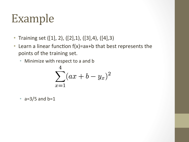### Example

- Training set  $([1], 2)$ ,  $([2], 1)$ ,  $([3], 4)$ ,  $([4], 3)$
- Learn a linear function  $f(x)$ =ax+b that best represents the points of the training set.
	- Minimize with respect to a and b

$$
\sum_{x=1}^{4} (ax+b-y_x)^2
$$

•  $a=3/5$  and  $b=1$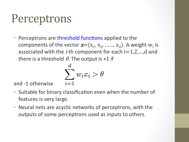• Perceptrons are threshold functions applied to the components of the vector  $\boldsymbol{x}=(x_1, x_2, \, ....., x_d)$ . A weight  $w_i$  is associated with the *i*-th component for each  $i=1,2,...,d$  and there is a threshold  $\theta$ . The output is +1 if

$$
\sum_{i=1}^d w_i x_i > \theta
$$

and -1 otherwise

- Suitable for binary classification even when the number of features is very large.
- Neural nets are acyclic networks of perceptrons, with the outputs of some perceptrons used as inputs to others.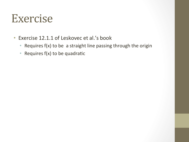#### Exercise

- Exercise 12.1.1 of Leskovec et al.'s book
	- Requires  $f(x)$  to be a straight line passing through the origin
	- Requires  $f(x)$  to be quadratic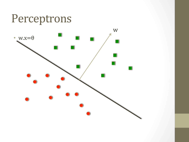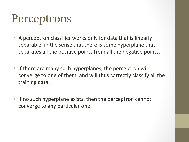- A perceptron classifier works only for data that is linearly separable, in the sense that there is some hyperplane that separates all the positive points from all the negative points.
- If there are many such hyperplanes, the perceptron will converge to one of them, and will thus correctly classify all the training data.
- If no such hyperplane exists, then the perceptron cannot converge to any particular one.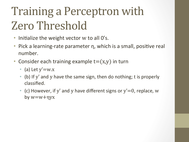# **Training a Perceptron with** Zero Threshold

- Initialize the weight vector  $w$  to all  $0's$ .
- Pick a learning-rate parameter  $\eta$ , which is a small, positive real number.
- Consider each training example  $t=(x,y)$  in turn
	- (a) Let  $y'=w.x$
	- (b) If y' and y have the same sign, then do nothing; t is properly classified.
	- (c) However, if y' and y have different signs or  $y'=0$ , replace, w by  $w= w + \eta yx$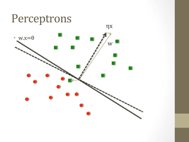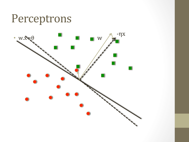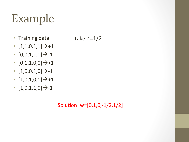## Example

- Training data:
- $[1,1,0,1,1]$   $\rightarrow$  +1
- $[0,0,1,1,0]$ <sup>-</sup>>-1
- $[0,1,1,0,0]$   $\rightarrow$  +1
- $[1,0,0,1,0]$ <sup>-</sup>>-1
- $[1,0,1,0,1]$   $\rightarrow$  +1
- $[1,0,1,1,0]$ <sup>-</sup>>-1

Solution:  $w=[0,1,0,-1/2,1/2]$ 

Take  $\eta=1/2$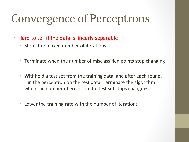## **Convergence of Perceptrons**

- Hard to tell if the data is linearly separable
	- Stop after a fixed number of iterations
	- Terminate when the number of misclassified points stop changing
	- Withhold a test set from the training data, and after each round, run the perceptron on the test data. Terminate the algorithm when the number of errors on the test set stops changing.
	- Lower the training rate with the number of iterations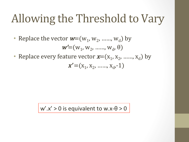### Allowing the Threshold to Vary

• Replace the vector  $w=(w_1, w_2, \ldots, w_d)$  by

$$
w' = (w1, w2, ....., wd, \theta)
$$

• Replace every feature vector  $\mathbf{x}=(x_1, x_2, \ldots, x_d)$  by

$$
x'=(x_1, x_2, \, \ldots \, x_d, -1)
$$

 $w'$ .x' > 0 is equivalent to w.x- $\theta$  > 0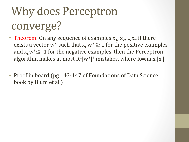# Why does Perceptron converge?

- Theorem: On any sequence of examples  $x_1, x_2, ..., x_t$ , if there exists a vector w\* such that  $x_t w^* \ge 1$  for the positive examples and  $x_t w^* \leq -1$  for the negative examples, then the Perceptron algorithm makes at most  $R^2|w^*|^2$  mistakes, where  $R=$ max $_t|x_t|$
- Proof in board (pg 143-147 of Foundations of Data Science book by Blum et al.)